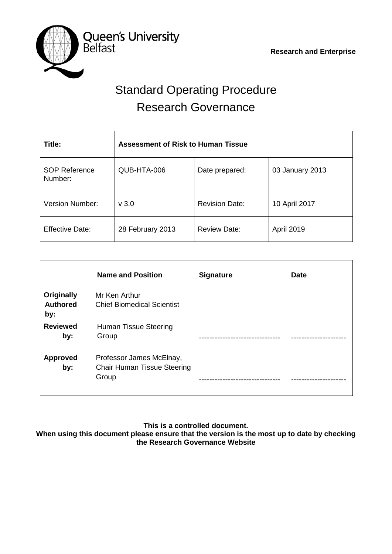

# Standard Operating Procedure Research Governance

| Title:                          | <b>Assessment of Risk to Human Tissue</b> |                       |                 |  |  |  |  |  |  |  |
|---------------------------------|-------------------------------------------|-----------------------|-----------------|--|--|--|--|--|--|--|
| <b>SOP Reference</b><br>Number: | QUB-HTA-006                               | Date prepared:        | 03 January 2013 |  |  |  |  |  |  |  |
| <b>Version Number:</b>          | v3.0                                      | <b>Revision Date:</b> | 10 April 2017   |  |  |  |  |  |  |  |
| <b>Effective Date:</b>          | 28 February 2013                          | <b>Review Date:</b>   | April 2019      |  |  |  |  |  |  |  |

|                                             | <b>Name and Position</b>                                                | <b>Signature</b> | <b>Date</b> |
|---------------------------------------------|-------------------------------------------------------------------------|------------------|-------------|
| <b>Originally</b><br><b>Authored</b><br>by: | Mr Ken Arthur<br><b>Chief Biomedical Scientist</b>                      |                  |             |
| <b>Reviewed</b><br>by:                      | Human Tissue Steering<br>Group                                          |                  |             |
| <b>Approved</b><br>by:                      | Professor James McElnay,<br><b>Chair Human Tissue Steering</b><br>Group |                  |             |

### **This is a controlled document.**

**When using this document please ensure that the version is the most up to date by checking the Research Governance Website**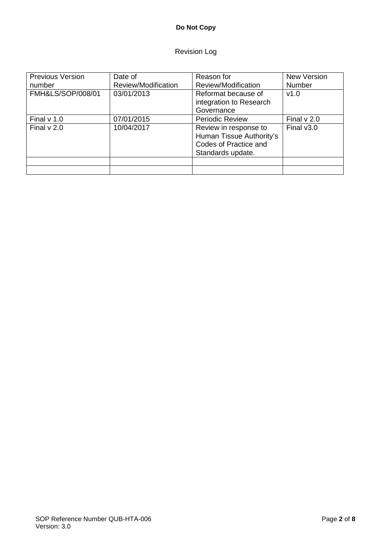## **Do Not Copy**

# Revision Log

| <b>Previous Version</b> | Date of             | Reason for                                                                                      | <b>New Version</b> |
|-------------------------|---------------------|-------------------------------------------------------------------------------------------------|--------------------|
| number                  | Review/Modification | Review/Modification                                                                             | Number             |
| FMH&LS/SOP/008/01       | 03/01/2013          | Reformat because of<br>integration to Research                                                  | V1.0               |
|                         |                     | Governance                                                                                      |                    |
| Final $v$ 1.0           | 07/01/2015          | <b>Periodic Review</b>                                                                          | Final $v$ 2.0      |
| Final $v$ 2.0           | 10/04/2017          | Review in response to<br>Human Tissue Authority's<br>Codes of Practice and<br>Standards update. | Final $v3.0$       |
|                         |                     |                                                                                                 |                    |
|                         |                     |                                                                                                 |                    |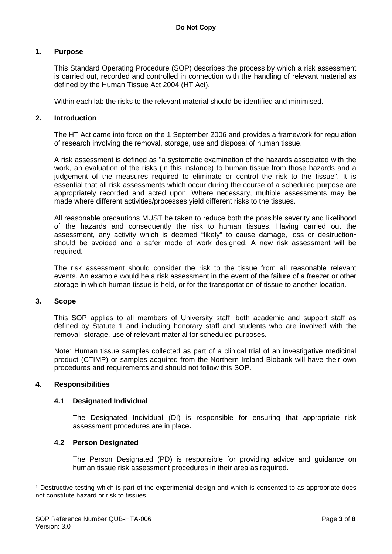#### **1. Purpose**

This Standard Operating Procedure (SOP) describes the process by which a risk assessment is carried out, recorded and controlled in connection with the handling of relevant material as defined by the Human Tissue Act 2004 (HT Act).

Within each lab the risks to the relevant material should be identified and minimised.

#### **2. Introduction**

The HT Act came into force on the 1 September 2006 and provides a framework for regulation of research involving the removal, storage, use and disposal of human tissue.

A risk assessment is defined as "a systematic examination of the hazards associated with the work, an evaluation of the risks (in this instance) to human tissue from those hazards and a judgement of the measures required to eliminate or control the risk to the tissue". It is essential that all risk assessments which occur during the course of a scheduled purpose are appropriately recorded and acted upon. Where necessary, multiple assessments may be made where different activities/processes yield different risks to the tissues.

All reasonable precautions MUST be taken to reduce both the possible severity and likelihood of the hazards and consequently the risk to human tissues. Having carried out the assessment, any activity which is deemed "likely" to cause damage, loss or destruction<sup>[1](#page-2-0)</sup> should be avoided and a safer mode of work designed. A new risk assessment will be required.

The risk assessment should consider the risk to the tissue from all reasonable relevant events. An example would be a risk assessment in the event of the failure of a freezer or other storage in which human tissue is held, or for the transportation of tissue to another location.

#### **3. Scope**

This SOP applies to all members of University staff; both academic and support staff as defined by Statute 1 and including honorary staff and students who are involved with the removal, storage, use of relevant material for scheduled purposes.

Note: Human tissue samples collected as part of a clinical trial of an investigative medicinal product (CTIMP) or samples acquired from the Northern Ireland Biobank will have their own procedures and requirements and should not follow this SOP.

#### **4. Responsibilities**

#### **4.1 Designated Individual**

The Designated Individual (DI) is responsible for ensuring that appropriate risk assessment procedures are in place**.**

#### **4.2 Person Designated**

The Person Designated (PD) is responsible for providing advice and guidance on human tissue risk assessment procedures in their area as required.

<span id="page-2-0"></span><sup>1</sup> Destructive testing which is part of the experimental design and which is consented to as appropriate does not constitute hazard or risk to tissues. -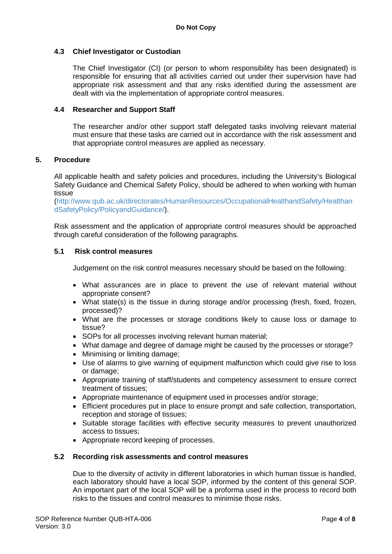#### **4.3 Chief Investigator or Custodian**

The Chief Investigator (CI) (or person to whom responsibility has been designated) is responsible for ensuring that all activities carried out under their supervision have had appropriate risk assessment and that any risks identified during the assessment are dealt with via the implementation of appropriate control measures.

#### **4.4 Researcher and Support Staff**

The researcher and/or other support staff delegated tasks involving relevant material must ensure that these tasks are carried out in accordance with the risk assessment and that appropriate control measures are applied as necessary.

#### **5. Procedure**

All applicable health and safety policies and procedures, including the University's Biological Safety Guidance and Chemical Safety Policy, should be adhered to when working with human tissue

[\(http://www.qub.ac.uk/directorates/HumanResources/OccupationalHealthandSafety/Healthan](http://www.qub.ac.uk/directorates/HumanResources/OccupationalHealthandSafety/HealthandSafetyPolicy/PolicyandGuidance/) [dSafetyPolicy/PolicyandGuidance/\)](http://www.qub.ac.uk/directorates/HumanResources/OccupationalHealthandSafety/HealthandSafetyPolicy/PolicyandGuidance/).

Risk assessment and the application of appropriate control measures should be approached through careful consideration of the following paragraphs.

#### **5.1 Risk control measures**

Judgement on the risk control measures necessary should be based on the following:

- What assurances are in place to prevent the use of relevant material without appropriate consent?
- What state(s) is the tissue in during storage and/or processing (fresh, fixed, frozen, processed)?
- What are the processes or storage conditions likely to cause loss or damage to tissue?
- SOPs for all processes involving relevant human material;
- What damage and degree of damage might be caused by the processes or storage?
- Minimising or limiting damage;
- Use of alarms to give warning of equipment malfunction which could give rise to loss or damage;
- Appropriate training of staff/students and competency assessment to ensure correct treatment of tissues;
- Appropriate maintenance of equipment used in processes and/or storage;
- Efficient procedures put in place to ensure prompt and safe collection, transportation, reception and storage of tissues;
- Suitable storage facilities with effective security measures to prevent unauthorized access to tissues;
- Appropriate record keeping of processes.

#### **5.2 Recording risk assessments and control measures**

Due to the diversity of activity in different laboratories in which human tissue is handled, each laboratory should have a local SOP, informed by the content of this general SOP. An important part of the local SOP will be a proforma used in the process to record both risks to the tissues and control measures to minimise those risks.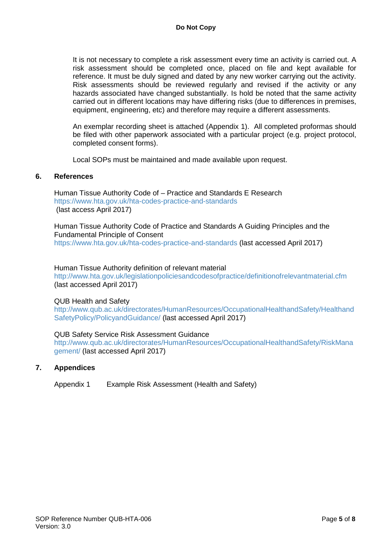It is not necessary to complete a risk assessment every time an activity is carried out. A risk assessment should be completed once, placed on file and kept available for reference. It must be duly signed and dated by any new worker carrying out the activity. Risk assessments should be reviewed regularly and revised if the activity or any hazards associated have changed substantially. Is hold be noted that the same activity carried out in different locations may have differing risks (due to differences in premises, equipment, engineering, etc) and therefore may require a different assessments.

An exemplar recording sheet is attached (Appendix 1). All completed proformas should be filed with other paperwork associated with a particular project (e.g. project protocol, completed consent forms).

Local SOPs must be maintained and made available upon request.

#### **6. References**

Human Tissue Authority Code of – Practice and Standards E Research <https://www.hta.gov.uk/hta-codes-practice-and-standards> (last access April 2017)

Human Tissue Authority Code of Practice and Standards A Guiding Principles and the Fundamental Principle of Consent <https://www.hta.gov.uk/hta-codes-practice-and-standards> (last accessed April 2017)

Human Tissue Authority definition of relevant material <http://www.hta.gov.uk/legislationpoliciesandcodesofpractice/definitionofrelevantmaterial.cfm> (last accessed April 2017)

#### QUB Health and Safety

[http://www.qub.ac.uk/directorates/HumanResources/OccupationalHealthandSafety/Healthand](http://www.qub.ac.uk/directorates/HumanResources/OccupationalHealthandSafety/HealthandSafetyPolicy/PolicyandGuidance/) [SafetyPolicy/PolicyandGuidance/](http://www.qub.ac.uk/directorates/HumanResources/OccupationalHealthandSafety/HealthandSafetyPolicy/PolicyandGuidance/) (last accessed April 2017)

QUB Safety Service Risk Assessment Guidance [http://www.qub.ac.uk/directorates/HumanResources/OccupationalHealthandSafety/RiskMana](http://www.qub.ac.uk/directorates/HumanResources/OccupationalHealthandSafety/RiskManagement/) [gement/](http://www.qub.ac.uk/directorates/HumanResources/OccupationalHealthandSafety/RiskManagement/) (last accessed April 2017)

#### **7. Appendices**

Appendix 1 Example Risk Assessment (Health and Safety)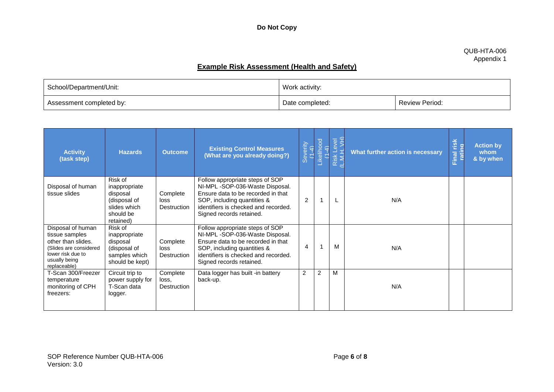#### QUB-HTA-006 Appendix 1

# **Example Risk Assessment (Health and Safety)**

| School/Department/Unit:  | Work activity:  |                       |  |
|--------------------------|-----------------|-----------------------|--|
| Assessment completed by: | Date completed: | <b>Review Period:</b> |  |

| <b>Activity</b><br>(task step)                                                                                                            | <b>Hazards</b>                                                                                 | <b>Outcome</b>                   | <b>Existing Control Measures</b><br>(What are you already doing?)                                                                                                                                          | Severity<br>(1-4) | Likelihood<br>(1-4) | Risk Level<br>L.M.H. VH) | What further action is necessary | Final risk<br>rating | <b>Action by</b><br>whom<br>& by when |
|-------------------------------------------------------------------------------------------------------------------------------------------|------------------------------------------------------------------------------------------------|----------------------------------|------------------------------------------------------------------------------------------------------------------------------------------------------------------------------------------------------------|-------------------|---------------------|--------------------------|----------------------------------|----------------------|---------------------------------------|
| Disposal of human<br>tissue slides                                                                                                        | Risk of<br>inappropriate<br>disposal<br>(disposal of<br>slides which<br>should be<br>retained) | Complete<br>loss<br>Destruction  | Follow appropriate steps of SOP<br>NI-MPL-SOP-036-Waste Disposal.<br>Ensure data to be recorded in that<br>SOP, including quantities &<br>identifiers is checked and recorded.<br>Signed records retained. | $\overline{2}$    | 1                   |                          | N/A                              |                      |                                       |
| Disposal of human<br>tissue samples<br>other than slides.<br>(Slides are considered<br>lower risk due to<br>usually being<br>replaceable) | Risk of<br>inappropriate<br>disposal<br>(disposal of<br>samples which<br>should be kept)       | Complete<br>loss<br>Destruction  | Follow appropriate steps of SOP<br>NI-MPL-SOP-036-Waste Disposal.<br>Ensure data to be recorded in that<br>SOP, including quantities &<br>identifiers is checked and recorded.<br>Signed records retained. | 4                 | 1                   | м                        | N/A                              |                      |                                       |
| T-Scan 300/Freezer<br>temperature<br>monitoring of CPH<br>freezers:                                                                       | Circuit trip to<br>power supply for<br>T-Scan data<br>logger.                                  | Complete<br>loss.<br>Destruction | Data logger has built -in battery<br>back-up.                                                                                                                                                              | $\overline{2}$    | 2                   | M                        | N/A                              |                      |                                       |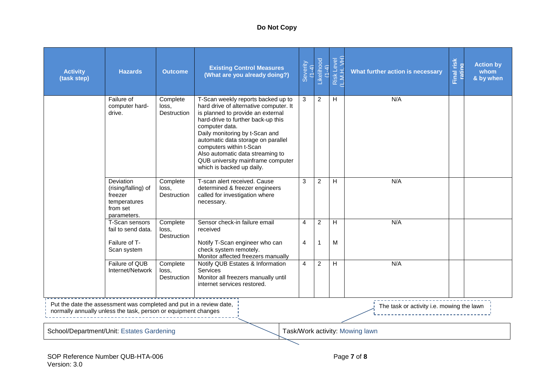## **Do Not Copy**

| <b>Activity</b><br>(task step)            | <b>Hazards</b>                                                                                                                                                                     | <b>Outcome</b>                          | <b>Existing Control Measures</b><br>(What are you already doing?)                                                                                                                                                                                                                                                                                                                  | Severity<br>$(1 -$<br>Ź, | Likelihood<br>(1-4)           | Risk Level<br>(L.M.H. VH) | What further action is necessary | risk<br>rating<br>Final | <b>Action by</b><br>whom<br>& by when |
|-------------------------------------------|------------------------------------------------------------------------------------------------------------------------------------------------------------------------------------|-----------------------------------------|------------------------------------------------------------------------------------------------------------------------------------------------------------------------------------------------------------------------------------------------------------------------------------------------------------------------------------------------------------------------------------|--------------------------|-------------------------------|---------------------------|----------------------------------|-------------------------|---------------------------------------|
|                                           | Failure of<br>computer hard-<br>drive.                                                                                                                                             | Complete<br>loss.<br>Destruction        | T-Scan weekly reports backed up to<br>hard drive of alternative computer. It<br>is planned to provide an external<br>hard-drive to further back-up this<br>computer data.<br>Daily monitoring by t-Scan and<br>automatic data storage on parallel<br>computers within t-Scan<br>Also automatic data streaming to<br>QUB university mainframe computer<br>which is backed up daily. | 3                        | $\overline{2}$                | H                         | N/A                              |                         |                                       |
|                                           | Deviation<br>(rising/falling) of<br>freezer<br>temperatures<br>from set<br>parameters.                                                                                             | Complete<br>loss.<br><b>Destruction</b> | T-scan alert received. Cause<br>determined & freezer engineers<br>called for investigation where<br>necessary.                                                                                                                                                                                                                                                                     | 3                        | $\overline{2}$                | H                         | N/A                              |                         |                                       |
|                                           | T-Scan sensors<br>fail to send data.<br>Failure of T-<br>Scan system                                                                                                               | Complete<br>loss.<br>Destruction        | Sensor check-in failure email<br>received<br>Notify T-Scan engineer who can<br>check system remotely.<br>Monitor affected freezers manually                                                                                                                                                                                                                                        | $\overline{4}$<br>4      | $\overline{2}$<br>$\mathbf 1$ | H<br>M                    | N/A                              |                         |                                       |
|                                           | Failure of QUB<br>Internet/Network                                                                                                                                                 | Complete<br>loss.<br><b>Destruction</b> | Notify QUB Estates & Information<br><b>Services</b><br>Monitor all freezers manually until<br>internet services restored.                                                                                                                                                                                                                                                          | 4                        | 2                             | H                         | N/A                              |                         |                                       |
|                                           | Put the date the assessment was completed and put in a review date,<br>The task or activity i.e. mowing the lawn<br>normally annually unless the task, person or equipment changes |                                         |                                                                                                                                                                                                                                                                                                                                                                                    |                          |                               |                           |                                  |                         |                                       |
| School/Department/Unit: Estates Gardening |                                                                                                                                                                                    |                                         |                                                                                                                                                                                                                                                                                                                                                                                    |                          |                               |                           | Task/Work activity: Mowing lawn  |                         |                                       |